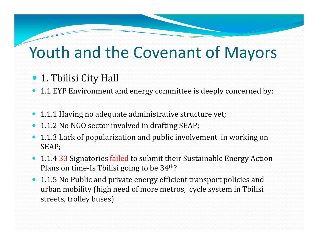- 1. Tbilisi City Hall
- 1.1 EYP Environment and energy committee is deeply concerned by:
- 1.1.1 Having no adequate administrative structure yet;
- $\bullet$ 1.1.2 No NGO sector involved in drafting SEAP;
- $\bullet$  1.1.3 Lack of popularization and public involvement in working on SEAP;
- $\bullet$ • 1.1.4 33 Signatories failed to submit their Sustainable Energy Action Plans on time-Is Tbilisi going to be 34<sup>th</sup>?
- 1.1.5 No Public and private energy efficient transport policies and urban mobility (high need of more metros, cycle system in Tbilisi streets, trolley buses)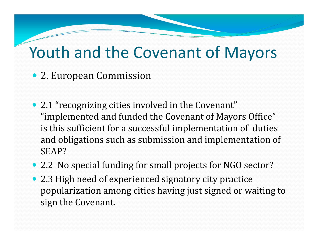- 2. European Commission
- 2.1 "recognizing cities involved in the Covenant" "implemented and funded the Covenant of Mayors Office" is this sufficient for a successful implementation of duties and obligations such as submission and implementation of SEAP?
- 2.2 No special funding for small projects for NGO sector?
- 2.3 High need of experienced signatory city practice popularization among cities having just signed or waiting to sign the Covenant.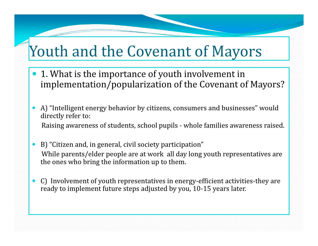- 1. What is the importance of youth involvement in implementation/popularization of the Covenant of Mayors?
- $\bullet$  A) "Intelligent energy behavior by citizens, consumers and businesses" would directly refer to:Raising awareness of students, school pupils - whole families awareness raised.
- $\bullet$  B) "Citizen and, in general, civil society participation" While parents/elder people are at work all day long youth representatives are the ones who bring the information up to them.
- $\bullet$  C) Involvement of youth representatives in energy-efficient activities-they are ready to implement future steps adjusted by you, 10-15 years later.